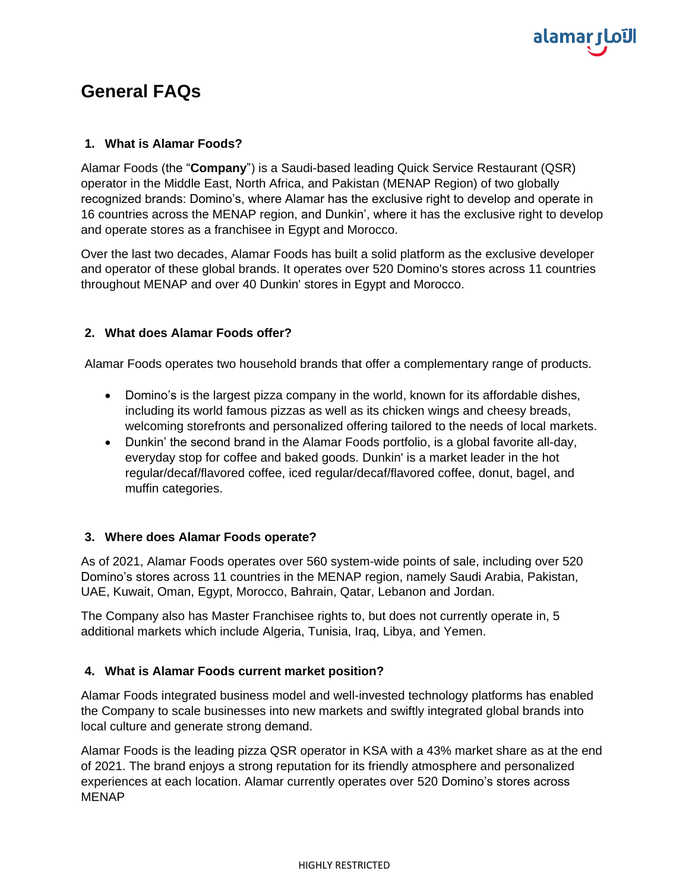

# **General FAQs**

#### **1. What is Alamar Foods?**

Alamar Foods (the "**Company**") is a Saudi-based leading Quick Service Restaurant (QSR) operator in the Middle East, North Africa, and Pakistan (MENAP Region) of two globally recognized brands: Domino's, where Alamar has the exclusive right to develop and operate in 16 countries across the MENAP region, and Dunkin', where it has the exclusive right to develop and operate stores as a franchisee in Egypt and Morocco.

Over the last two decades, Alamar Foods has built a solid platform as the exclusive developer and operator of these global brands. It operates over 520 Domino's stores across 11 countries throughout MENAP and over 40 Dunkin' stores in Egypt and Morocco.

## **2. What does Alamar Foods offer?**

Alamar Foods operates two household brands that offer a complementary range of products.

- Domino's is the largest pizza company in the world, known for its affordable dishes, including its world famous pizzas as well as its chicken wings and cheesy breads, welcoming storefronts and personalized offering tailored to the needs of local markets.
- Dunkin' the second brand in the Alamar Foods portfolio, is a global favorite all-day, everyday stop for coffee and baked goods. Dunkin' is a market leader in the hot regular/decaf/flavored coffee, iced regular/decaf/flavored coffee, donut, bagel, and muffin categories.

## **3. Where does Alamar Foods operate?**

As of 2021, Alamar Foods operates over 560 system-wide points of sale, including over 520 Domino's stores across 11 countries in the MENAP region, namely Saudi Arabia, Pakistan, UAE, Kuwait, Oman, Egypt, Morocco, Bahrain, Qatar, Lebanon and Jordan.

The Company also has Master Franchisee rights to, but does not currently operate in, 5 additional markets which include Algeria, Tunisia, Iraq, Libya, and Yemen.

## **4. What is Alamar Foods current market position?**

Alamar Foods integrated business model and well-invested technology platforms has enabled the Company to scale businesses into new markets and swiftly integrated global brands into local culture and generate strong demand.

Alamar Foods is the leading pizza QSR operator in KSA with a 43% market share as at the end of 2021. The brand enjoys a strong reputation for its friendly atmosphere and personalized experiences at each location. Alamar currently operates over 520 Domino's stores across MENAP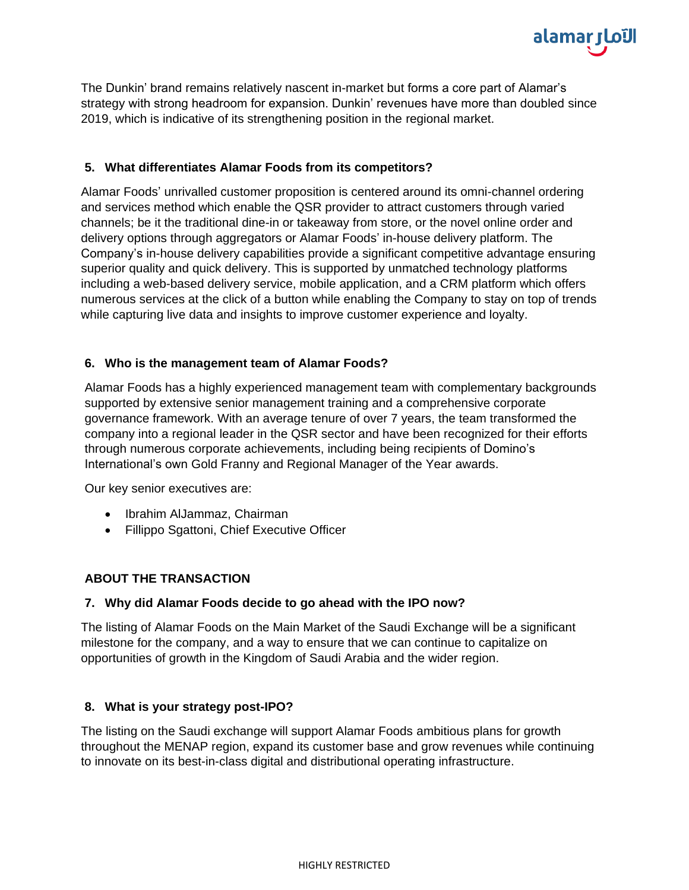

The Dunkin' brand remains relatively nascent in-market but forms a core part of Alamar's strategy with strong headroom for expansion. Dunkin' revenues have more than doubled since 2019, which is indicative of its strengthening position in the regional market.

## **5. What differentiates Alamar Foods from its competitors?**

Alamar Foods' unrivalled customer proposition is centered around its omni-channel ordering and services method which enable the QSR provider to attract customers through varied channels; be it the traditional dine-in or takeaway from store, or the novel online order and delivery options through aggregators or Alamar Foods' in-house delivery platform. The Company's in-house delivery capabilities provide a significant competitive advantage ensuring superior quality and quick delivery. This is supported by unmatched technology platforms including a web-based delivery service, mobile application, and a CRM platform which offers numerous services at the click of a button while enabling the Company to stay on top of trends while capturing live data and insights to improve customer experience and loyalty.

## **6. Who is the management team of Alamar Foods?**

Alamar Foods has a highly experienced management team with complementary backgrounds supported by extensive senior management training and a comprehensive corporate governance framework. With an average tenure of over 7 years, the team transformed the company into a regional leader in the QSR sector and have been recognized for their efforts through numerous corporate achievements, including being recipients of Domino's International's own Gold Franny and Regional Manager of the Year awards.

Our key senior executives are:

- Ibrahim AlJammaz, Chairman
- Fillippo Sgattoni, Chief Executive Officer

## **ABOUT THE TRANSACTION**

## **7. Why did Alamar Foods decide to go ahead with the IPO now?**

The listing of Alamar Foods on the Main Market of the Saudi Exchange will be a significant milestone for the company, and a way to ensure that we can continue to capitalize on opportunities of growth in the Kingdom of Saudi Arabia and the wider region.

## **8. What is your strategy post-IPO?**

The listing on the Saudi exchange will support Alamar Foods ambitious plans for growth throughout the MENAP region, expand its customer base and grow revenues while continuing to innovate on its best-in-class digital and distributional operating infrastructure.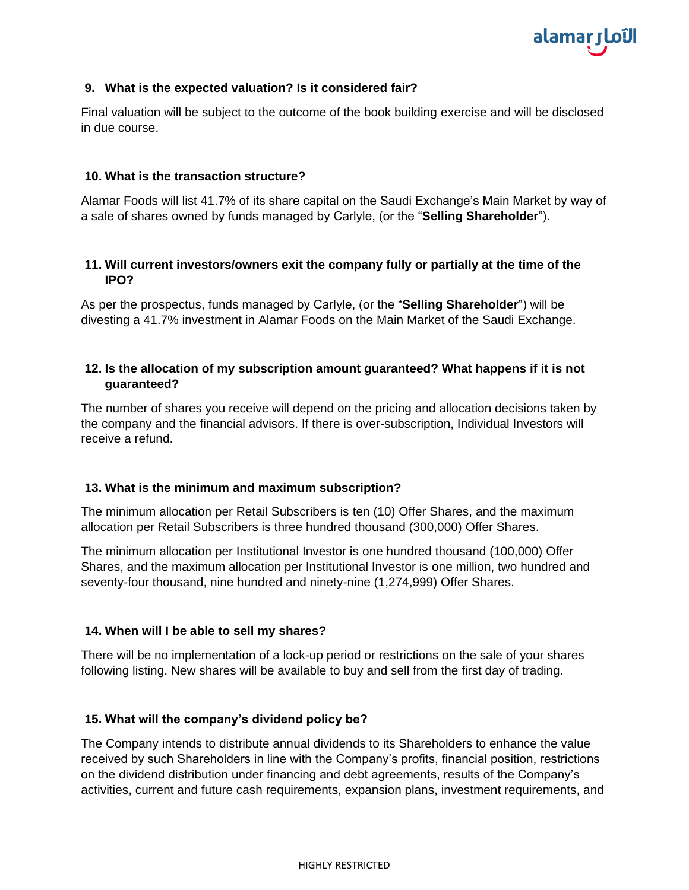

#### **9. What is the expected valuation? Is it considered fair?**

Final valuation will be subject to the outcome of the book building exercise and will be disclosed in due course.

#### **10. What is the transaction structure?**

Alamar Foods will list 41.7% of its share capital on the Saudi Exchange's Main Market by way of a sale of shares owned by funds managed by Carlyle, (or the "**Selling Shareholder**").

## **11. Will current investors/owners exit the company fully or partially at the time of the IPO?**

As per the prospectus, funds managed by Carlyle, (or the "**Selling Shareholder**") will be divesting a 41.7% investment in Alamar Foods on the Main Market of the Saudi Exchange.

## **12. Is the allocation of my subscription amount guaranteed? What happens if it is not guaranteed?**

The number of shares you receive will depend on the pricing and allocation decisions taken by the company and the financial advisors. If there is over-subscription, Individual Investors will receive a refund.

#### **13. What is the minimum and maximum subscription?**

The minimum allocation per Retail Subscribers is ten (10) Offer Shares, and the maximum allocation per Retail Subscribers is three hundred thousand (300,000) Offer Shares.

The minimum allocation per Institutional Investor is one hundred thousand (100,000) Offer Shares, and the maximum allocation per Institutional Investor is one million, two hundred and seventy-four thousand, nine hundred and ninety-nine (1,274,999) Offer Shares.

## **14. When will I be able to sell my shares?**

There will be no implementation of a lock-up period or restrictions on the sale of your shares following listing. New shares will be available to buy and sell from the first day of trading.

## **15. What will the company's dividend policy be?**

The Company intends to distribute annual dividends to its Shareholders to enhance the value received by such Shareholders in line with the Company's profits, financial position, restrictions on the dividend distribution under financing and debt agreements, results of the Company's activities, current and future cash requirements, expansion plans, investment requirements, and